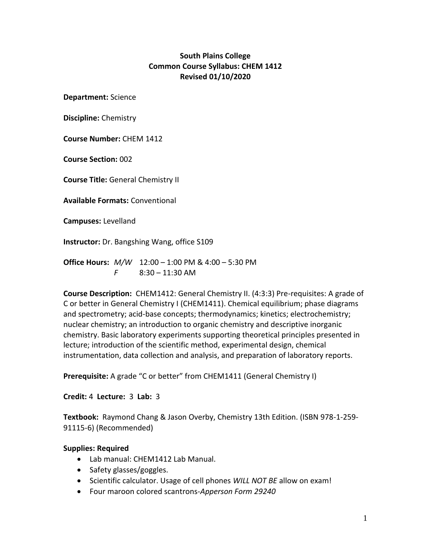## **South Plains College Common Course Syllabus: CHEM 1412 Revised 01/10/2020**

**Department:** Science

**Discipline:** Chemistry

**Course Number:** CHEM 1412

**Course Section:** 002

**Course Title:** General Chemistry II

**Available Formats:** Conventional

**Campuses:** Levelland

**Instructor:** Dr. Bangshing Wang, office S109

**Office Hours:** *M/W* 12:00 – 1:00 PM & 4:00 – 5:30 PM *F* 8:30 – 11:30 AM

**Course Description:** CHEM1412: General Chemistry II. (4:3:3) Pre-requisites: A grade of C or better in General Chemistry I (CHEM1411). Chemical equilibrium; phase diagrams and spectrometry; acid-base concepts; thermodynamics; kinetics; electrochemistry; nuclear chemistry; an introduction to organic chemistry and descriptive inorganic chemistry. Basic laboratory experiments supporting theoretical principles presented in lecture; introduction of the scientific method, experimental design, chemical instrumentation, data collection and analysis, and preparation of laboratory reports.

**Prerequisite:** A grade "C or better" from CHEM1411 (General Chemistry I)

**Credit:** 4 **Lecture:** 3 **Lab:** 3

**Textbook:** Raymond Chang & Jason Overby, Chemistry 13th Edition. (ISBN 978-1-259- 91115-6) (Recommended)

#### **Supplies: Required**

- Lab manual: CHEM1412 Lab Manual.
- $\bullet$  Safety glasses/goggles.
- Scientific calculator. Usage of cell phones *WILL NOT BE* allow on exam!
- Four maroon colored scantrons-*Apperson Form 29240*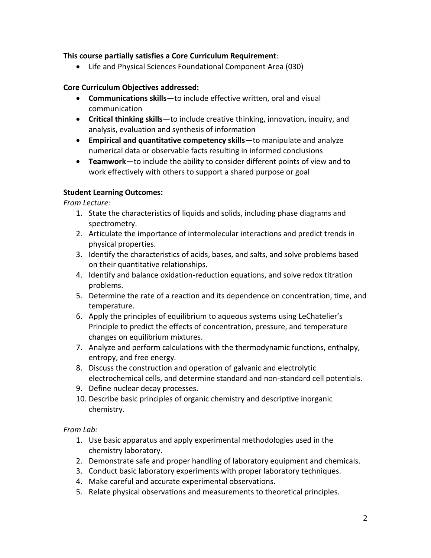## **This course partially satisfies a Core Curriculum Requirement**:

Life and Physical Sciences Foundational Component Area (030)

### **Core Curriculum Objectives addressed:**

- **Communications skills**—to include effective written, oral and visual communication
- **Critical thinking skills**—to include creative thinking, innovation, inquiry, and analysis, evaluation and synthesis of information
- **Empirical and quantitative competency skills**—to manipulate and analyze numerical data or observable facts resulting in informed conclusions
- **Teamwork**—to include the ability to consider different points of view and to work effectively with others to support a shared purpose or goal

### **Student Learning Outcomes:**

*From Lecture:* 

- 1. State the characteristics of liquids and solids, including phase diagrams and spectrometry.
- 2. Articulate the importance of intermolecular interactions and predict trends in physical properties.
- 3. Identify the characteristics of acids, bases, and salts, and solve problems based on their quantitative relationships.
- 4. Identify and balance oxidation-reduction equations, and solve redox titration problems.
- 5. Determine the rate of a reaction and its dependence on concentration, time, and temperature.
- 6. Apply the principles of equilibrium to aqueous systems using LeChatelier's Principle to predict the effects of concentration, pressure, and temperature changes on equilibrium mixtures.
- 7. Analyze and perform calculations with the thermodynamic functions, enthalpy, entropy, and free energy.
- 8. Discuss the construction and operation of galvanic and electrolytic electrochemical cells, and determine standard and non‐standard cell potentials.
- 9. Define nuclear decay processes.
- 10. Describe basic principles of organic chemistry and descriptive inorganic chemistry.

*From Lab:* 

- 1. Use basic apparatus and apply experimental methodologies used in the chemistry laboratory.
- 2. Demonstrate safe and proper handling of laboratory equipment and chemicals.
- 3. Conduct basic laboratory experiments with proper laboratory techniques.
- 4. Make careful and accurate experimental observations.
- 5. Relate physical observations and measurements to theoretical principles.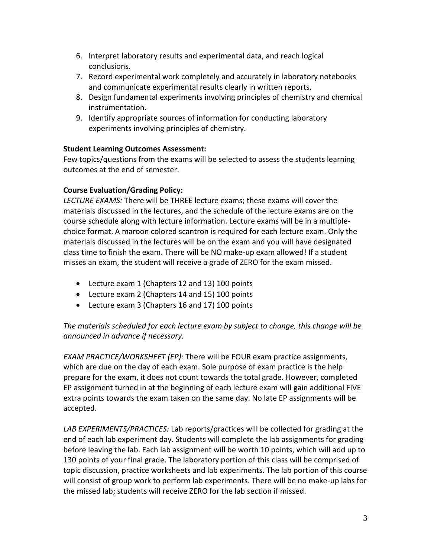- 6. Interpret laboratory results and experimental data, and reach logical conclusions.
- 7. Record experimental work completely and accurately in laboratory notebooks and communicate experimental results clearly in written reports.
- 8. Design fundamental experiments involving principles of chemistry and chemical instrumentation.
- 9. Identify appropriate sources of information for conducting laboratory experiments involving principles of chemistry.

## **Student Learning Outcomes Assessment:**

Few topics/questions from the exams will be selected to assess the students learning outcomes at the end of semester.

# **Course Evaluation/Grading Policy:**

*LECTURE EXAMS:* There will be THREE lecture exams; these exams will cover the materials discussed in the lectures, and the schedule of the lecture exams are on the course schedule along with lecture information. Lecture exams will be in a multiplechoice format. A maroon colored scantron is required for each lecture exam. Only the materials discussed in the lectures will be on the exam and you will have designated class time to finish the exam. There will be NO make-up exam allowed! If a student misses an exam, the student will receive a grade of ZERO for the exam missed.

- Lecture exam 1 (Chapters 12 and 13) 100 points
- Lecture exam 2 (Chapters 14 and 15) 100 points
- Lecture exam 3 (Chapters 16 and 17) 100 points

# *The materials scheduled for each lecture exam by subject to change, this change will be announced in advance if necessary.*

*EXAM PRACTICE/WORKSHEET (EP):* There will be FOUR exam practice assignments, which are due on the day of each exam. Sole purpose of exam practice is the help prepare for the exam, it does not count towards the total grade. However, completed EP assignment turned in at the beginning of each lecture exam will gain additional FIVE extra points towards the exam taken on the same day. No late EP assignments will be accepted.

*LAB EXPERIMENTS/PRACTICES:* Lab reports/practices will be collected for grading at the end of each lab experiment day. Students will complete the lab assignments for grading before leaving the lab. Each lab assignment will be worth 10 points, which will add up to 130 points of your final grade. The laboratory portion of this class will be comprised of topic discussion, practice worksheets and lab experiments. The lab portion of this course will consist of group work to perform lab experiments. There will be no make-up labs for the missed lab; students will receive ZERO for the lab section if missed.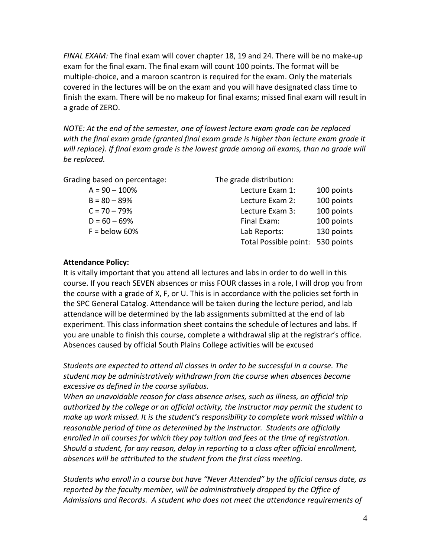*FINAL EXAM:* The final exam will cover chapter 18, 19 and 24. There will be no make-up exam for the final exam. The final exam will count 100 points. The format will be multiple-choice, and a maroon scantron is required for the exam. Only the materials covered in the lectures will be on the exam and you will have designated class time to finish the exam. There will be no makeup for final exams; missed final exam will result in a grade of ZERO.

*NOTE: At the end of the semester, one of lowest lecture exam grade can be replaced with the final exam grade (granted final exam grade is higher than lecture exam grade it will replace). If final exam grade is the lowest grade among all exams, than no grade will be replaced.*

Grading based on percentage: The grade distribution:

| $A = 90 - 100\%$ | Lecture Exam 1:                  | 100 points |
|------------------|----------------------------------|------------|
| $B = 80 - 89%$   | Lecture Exam 2:                  | 100 points |
| $C = 70 - 79\%$  | Lecture Exam 3:                  | 100 points |
| $D = 60 - 69%$   | Final Exam:                      | 100 points |
| $F =$ below 60%  | Lab Reports:                     | 130 points |
|                  | Total Possible point: 530 points |            |
|                  |                                  |            |

#### **Attendance Policy:**

It is vitally important that you attend all lectures and labs in order to do well in this course. If you reach SEVEN absences or miss FOUR classes in a role, I will drop you from the course with a grade of X, F, or U. This is in accordance with the policies set forth in the SPC General Catalog. Attendance will be taken during the lecture period, and lab attendance will be determined by the lab assignments submitted at the end of lab experiment. This class information sheet contains the schedule of lectures and labs. If you are unable to finish this course, complete a withdrawal slip at the registrar's office. Absences caused by official South Plains College activities will be excused

*Students are expected to attend all classes in order to be successful in a course. The student may be administratively withdrawn from the course when absences become excessive as defined in the course syllabus.*

*When an unavoidable reason for class absence arises, such as illness, an official trip authorized by the college or an official activity, the instructor may permit the student to make up work missed. It is the student's responsibility to complete work missed within a reasonable period of time as determined by the instructor. Students are officially enrolled in all courses for which they pay tuition and fees at the time of registration. Should a student, for any reason, delay in reporting to a class after official enrollment, absences will be attributed to the student from the first class meeting.*

*Students who enroll in a course but have "Never Attended" by the official census date, as reported by the faculty member, will be administratively dropped by the Office of Admissions and Records. A student who does not meet the attendance requirements of*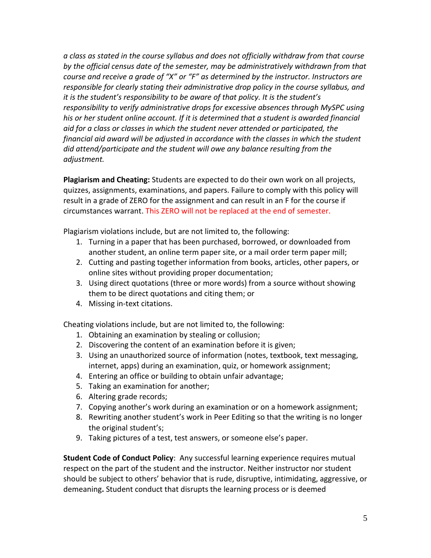*a class as stated in the course syllabus and does not officially withdraw from that course by the official census date of the semester, may be administratively withdrawn from that course and receive a grade of "X" or "F" as determined by the instructor. Instructors are responsible for clearly stating their administrative drop policy in the course syllabus, and it is the student's responsibility to be aware of that policy. It is the student's responsibility to verify administrative drops for excessive absences through MySPC using his or her student online account. If it is determined that a student is awarded financial aid for a class or classes in which the student never attended or participated, the financial aid award will be adjusted in accordance with the classes in which the student did attend/participate and the student will owe any balance resulting from the adjustment.*

**Plagiarism and Cheating:** Students are expected to do their own work on all projects, quizzes, assignments, examinations, and papers. Failure to comply with this policy will result in a grade of ZERO for the assignment and can result in an F for the course if circumstances warrant. This ZERO will not be replaced at the end of semester.

Plagiarism violations include, but are not limited to, the following:

- 1. Turning in a paper that has been purchased, borrowed, or downloaded from another student, an online term paper site, or a mail order term paper mill;
- 2. Cutting and pasting together information from books, articles, other papers, or online sites without providing proper documentation;
- 3. Using direct quotations (three or more words) from a source without showing them to be direct quotations and citing them; or
- 4. Missing in-text citations.

Cheating violations include, but are not limited to, the following:

- 1. Obtaining an examination by stealing or collusion;
- 2. Discovering the content of an examination before it is given;
- 3. Using an unauthorized source of information (notes, textbook, text messaging, internet, apps) during an examination, quiz, or homework assignment;
- 4. Entering an office or building to obtain unfair advantage;
- 5. Taking an examination for another;
- 6. Altering grade records;
- 7. Copying another's work during an examination or on a homework assignment;
- 8. Rewriting another student's work in Peer Editing so that the writing is no longer the original student's;
- 9. Taking pictures of a test, test answers, or someone else's paper.

**Student Code of Conduct Policy**: Any successful learning experience requires mutual respect on the part of the student and the instructor. Neither instructor nor student should be subject to others' behavior that is rude, disruptive, intimidating, aggressive, or demeaning**.** Student conduct that disrupts the learning process or is deemed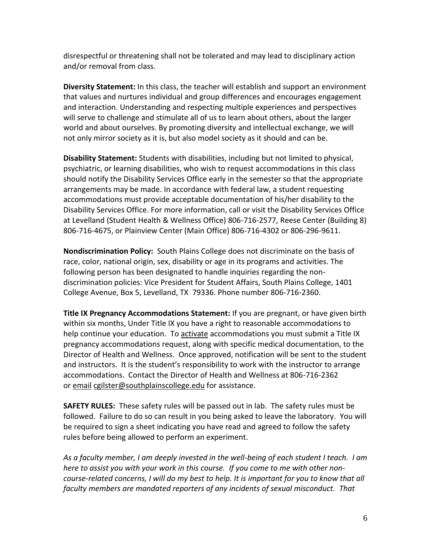disrespectful or threatening shall not be tolerated and may lead to disciplinary action and/or removal from class.

**Diversity Statement:** In this class, the teacher will establish and support an environment that values and nurtures individual and group differences and encourages engagement and interaction. Understanding and respecting multiple experiences and perspectives will serve to challenge and stimulate all of us to learn about others, about the larger world and about ourselves. By promoting diversity and intellectual exchange, we will not only mirror society as it is, but also model society as it should and can be.

**Disability Statement:** Students with disabilities, including but not limited to physical, psychiatric, or learning disabilities, who wish to request accommodations in this class should notify the Disability Services Office early in the semester so that the appropriate arrangements may be made. In accordance with federal law, a student requesting accommodations must provide acceptable documentation of his/her disability to the Disability Services Office. For more information, call or visit the Disability Services Office at Levelland (Student Health & Wellness Office) 806-716-2577, Reese Center (Building 8) 806-716-4675, or Plainview Center (Main Office) 806-716-4302 or 806-296-9611.

**Nondiscrimination Policy:** South Plains College does not discriminate on the basis of race, color, national origin, sex, disability or age in its programs and activities. The following person has been designated to handle inquiries regarding the nondiscrimination policies: Vice President for Student Affairs, South Plains College, 1401 College Avenue, Box 5, Levelland, TX 79336. Phone number 806-716-2360.

**Title IX Pregnancy Accommodations Statement:** If you are pregnant, or have given birth within six months, Under Title IX you have a right to reasonable accommodations to help continue your education. To [activate](http://www.southplainscollege.edu/employees/manualshandbooks/facultyhandbook/sec4.php) accommodations you must submit a Title IX pregnancy accommodations request, along with specific medical documentation, to the Director of Health and Wellness. Once approved, notification will be sent to the student and instructors. It is the student's responsibility to work with the instructor to arrange accommodations. Contact the Director of Health and Wellness at 806-716-2362 or [email](http://www.southplainscollege.edu/employees/manualshandbooks/facultyhandbook/sec4.php) [cgilster@southplainscollege.edu](mailto:cgilster@southplainscollege.edu) for assistance.

**SAFETY RULES:** These safety rules will be passed out in lab. The safety rules must be followed. Failure to do so can result in you being asked to leave the laboratory. You will be required to sign a sheet indicating you have read and agreed to follow the safety rules before being allowed to perform an experiment.

*As a faculty member, I am deeply invested in the well-being of each student I teach. I am here to assist you with your work in this course. If you come to me with other noncourse-related concerns, I will do my best to help. It is important for you to know that all faculty members are mandated reporters of any incidents of sexual misconduct. That*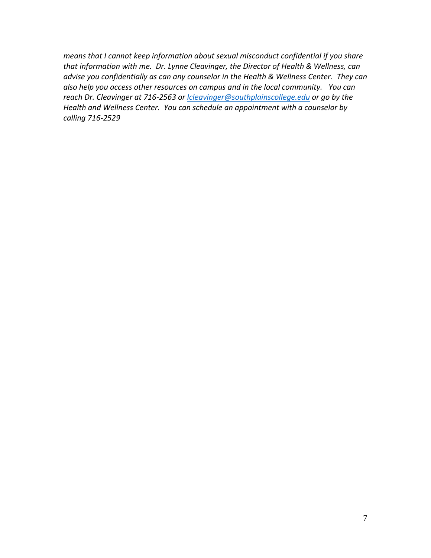*means that I cannot keep information about sexual misconduct confidential if you share that information with me. Dr. Lynne Cleavinger, the Director of Health & Wellness, can advise you confidentially as can any counselor in the Health & Wellness Center. They can also help you access other resources on campus and in the local community. You can reach Dr. Cleavinger at 716-2563 or [lcleavinger@southplainscollege.edu](mailto:lcleavinger@southplainscollege.edu) or go by the Health and Wellness Center. You can schedule an appointment with a counselor by calling 716-2529*